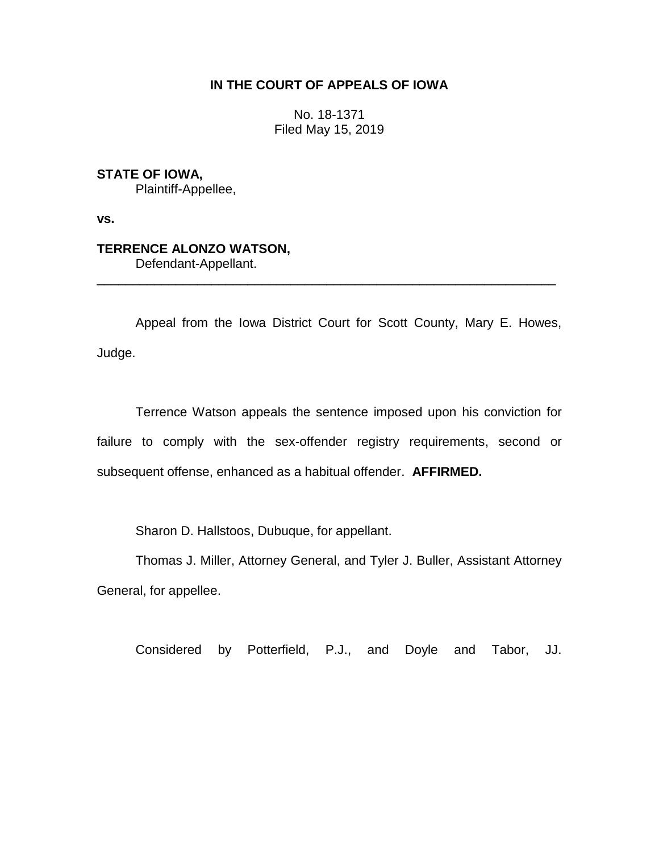## **IN THE COURT OF APPEALS OF IOWA**

No. 18-1371 Filed May 15, 2019

**STATE OF IOWA,**

Plaintiff-Appellee,

**vs.**

## **TERRENCE ALONZO WATSON,**

Defendant-Appellant.

Appeal from the Iowa District Court for Scott County, Mary E. Howes, Judge.

\_\_\_\_\_\_\_\_\_\_\_\_\_\_\_\_\_\_\_\_\_\_\_\_\_\_\_\_\_\_\_\_\_\_\_\_\_\_\_\_\_\_\_\_\_\_\_\_\_\_\_\_\_\_\_\_\_\_\_\_\_\_\_\_

Terrence Watson appeals the sentence imposed upon his conviction for failure to comply with the sex-offender registry requirements, second or subsequent offense, enhanced as a habitual offender. **AFFIRMED.**

Sharon D. Hallstoos, Dubuque, for appellant.

Thomas J. Miller, Attorney General, and Tyler J. Buller, Assistant Attorney General, for appellee.

Considered by Potterfield, P.J., and Doyle and Tabor, JJ.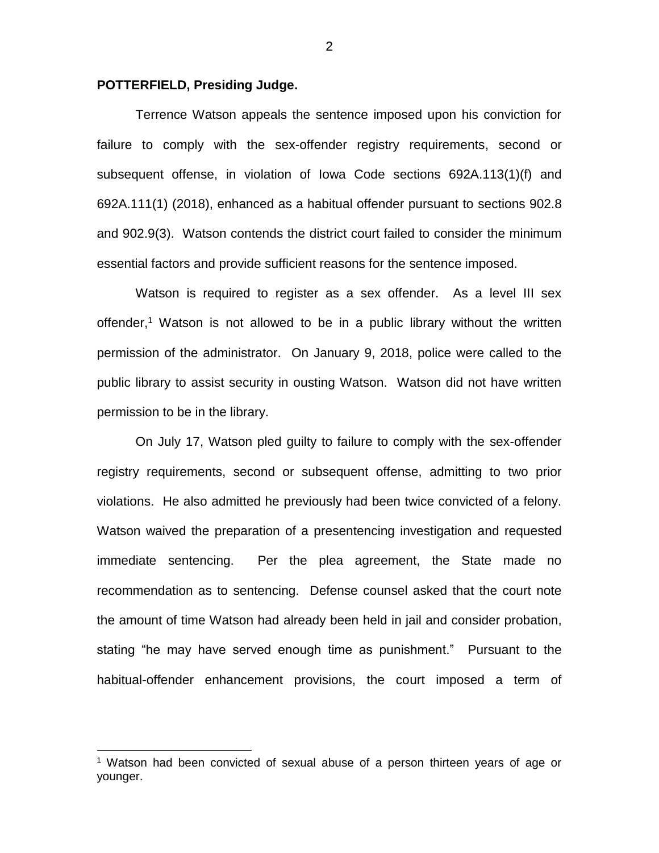## **POTTERFIELD, Presiding Judge.**

 $\overline{a}$ 

Terrence Watson appeals the sentence imposed upon his conviction for failure to comply with the sex-offender registry requirements, second or subsequent offense, in violation of Iowa Code sections 692A.113(1)(f) and 692A.111(1) (2018), enhanced as a habitual offender pursuant to sections 902.8 and 902.9(3). Watson contends the district court failed to consider the minimum essential factors and provide sufficient reasons for the sentence imposed.

Watson is required to register as a sex offender. As a level III sex offender,<sup>1</sup> Watson is not allowed to be in a public library without the written permission of the administrator. On January 9, 2018, police were called to the public library to assist security in ousting Watson. Watson did not have written permission to be in the library.

On July 17, Watson pled guilty to failure to comply with the sex-offender registry requirements, second or subsequent offense, admitting to two prior violations. He also admitted he previously had been twice convicted of a felony. Watson waived the preparation of a presentencing investigation and requested immediate sentencing. Per the plea agreement, the State made no recommendation as to sentencing. Defense counsel asked that the court note the amount of time Watson had already been held in jail and consider probation, stating "he may have served enough time as punishment." Pursuant to the habitual-offender enhancement provisions, the court imposed a term of

2

<sup>&</sup>lt;sup>1</sup> Watson had been convicted of sexual abuse of a person thirteen years of age or younger.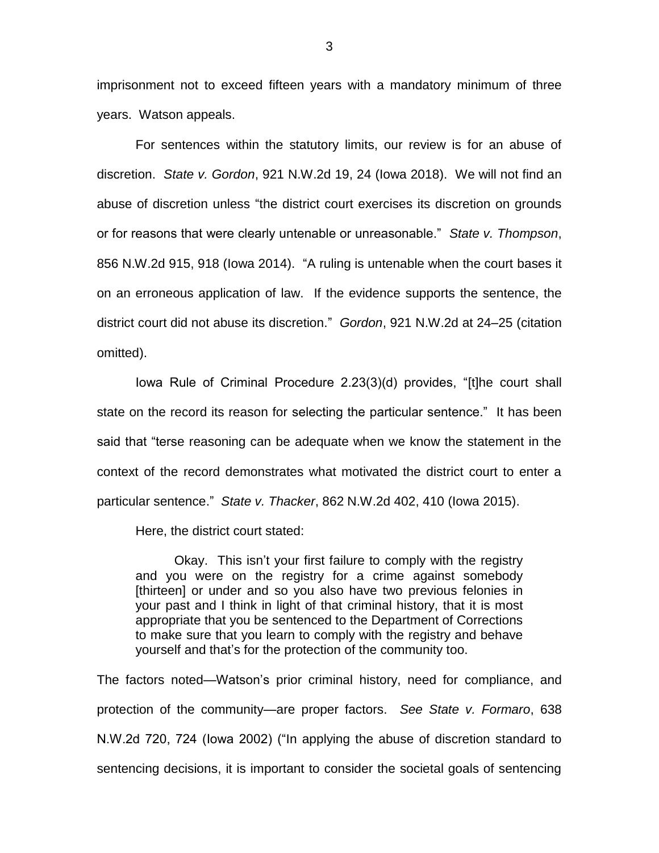imprisonment not to exceed fifteen years with a mandatory minimum of three years. Watson appeals.

For sentences within the statutory limits, our review is for an abuse of discretion. *State v. Gordon*, 921 N.W.2d 19, 24 (Iowa 2018). We will not find an abuse of discretion unless "the district court exercises its discretion on grounds or for reasons that were clearly untenable or unreasonable." *State v. Thompson*, 856 N.W.2d 915, 918 (Iowa 2014). "A ruling is untenable when the court bases it on an erroneous application of law. If the evidence supports the sentence, the district court did not abuse its discretion." *Gordon*, 921 N.W.2d at 24–25 (citation omitted).

Iowa Rule of Criminal Procedure 2.23(3)(d) provides, "[t]he court shall state on the record its reason for selecting the particular sentence." It has been said that "terse reasoning can be adequate when we know the statement in the context of the record demonstrates what motivated the district court to enter a particular sentence." *State v. Thacker*, 862 N.W.2d 402, 410 (Iowa 2015).

Here, the district court stated:

Okay. This isn't your first failure to comply with the registry and you were on the registry for a crime against somebody [thirteen] or under and so you also have two previous felonies in your past and I think in light of that criminal history, that it is most appropriate that you be sentenced to the Department of Corrections to make sure that you learn to comply with the registry and behave yourself and that's for the protection of the community too.

The factors noted—Watson's prior criminal history, need for compliance, and protection of the community—are proper factors. *See State v. Formaro*, 638 N.W.2d 720, 724 (Iowa 2002) ("In applying the abuse of discretion standard to sentencing decisions, it is important to consider the societal goals of sentencing